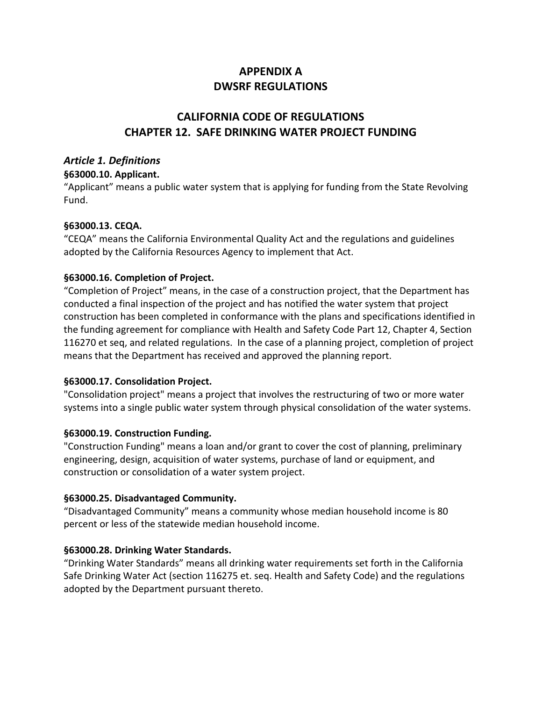# **APPENDIX A DWSRF REGULATIONS**

# **CALIFORNIA CODE OF REGULATIONS CHAPTER 12. SAFE DRINKING WATER PROJECT FUNDING**

# *Article 1. Definitions*

## **§63000.10. Applicant.**

"Applicant" means a public water system that is applying for funding from the State Revolving Fund.

# **§63000.13. CEQA.**

"CEQA" means the California Environmental Quality Act and the regulations and guidelines adopted by the California Resources Agency to implement that Act.

# **§63000.16. Completion of Project.**

"Completion of Project" means, in the case of a construction project, that the Department has conducted a final inspection of the project and has notified the water system that project construction has been completed in conformance with the plans and specifications identified in the funding agreement for compliance with Health and Safety Code Part 12, Chapter 4, Section 116270 et seq, and related regulations. In the case of a planning project, completion of project means that the Department has received and approved the planning report.

# **§63000.17. Consolidation Project.**

"Consolidation project" means a project that involves the restructuring of two or more water systems into a single public water system through physical consolidation of the water systems.

# **§63000.19. Construction Funding.**

"Construction Funding" means a loan and/or grant to cover the cost of planning, preliminary engineering, design, acquisition of water systems, purchase of land or equipment, and construction or consolidation of a water system project.

# **§63000.25. Disadvantaged Community.**

"Disadvantaged Community" means a community whose median household income is 80 percent or less of the statewide median household income.

# **§63000.28. Drinking Water Standards.**

"Drinking Water Standards" means all drinking water requirements set forth in the California Safe Drinking Water Act (section 116275 et. seq. Health and Safety Code) and the regulations adopted by the Department pursuant thereto.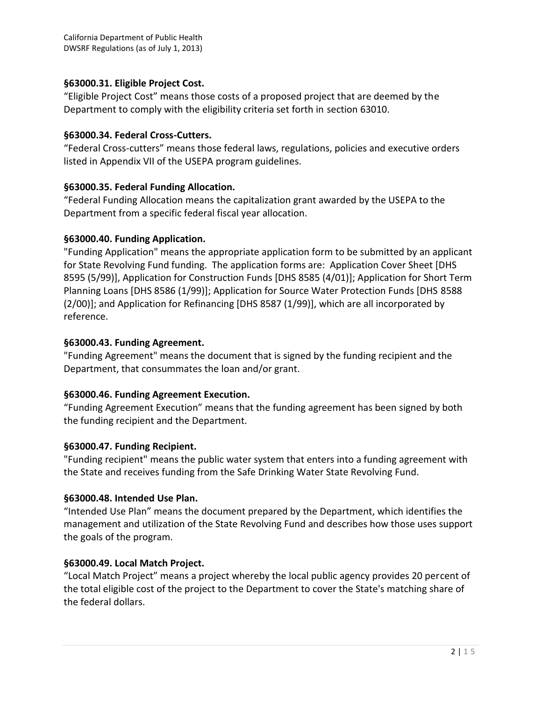## **§63000.31. Eligible Project Cost.**

"Eligible Project Cost" means those costs of a proposed project that are deemed by the Department to comply with the eligibility criteria set forth in section 63010.

#### **§63000.34. Federal Cross-Cutters.**

"Federal Cross-cutters" means those federal laws, regulations, policies and executive orders listed in Appendix VII of the USEPA program guidelines.

## **§63000.35. Federal Funding Allocation.**

"Federal Funding Allocation means the capitalization grant awarded by the USEPA to the Department from a specific federal fiscal year allocation.

## **§63000.40. Funding Application.**

"Funding Application" means the appropriate application form to be submitted by an applicant for State Revolving Fund funding. The application forms are: Application Cover Sheet [DHS 8595 (5/99)], Application for Construction Funds [DHS 8585 (4/01)]; Application for Short Term Planning Loans [DHS 8586 (1/99)]; Application for Source Water Protection Funds [DHS 8588 (2/00)]; and Application for Refinancing [DHS 8587 (1/99)], which are all incorporated by reference.

## **§63000.43. Funding Agreement.**

"Funding Agreement" means the document that is signed by the funding recipient and the Department, that consummates the loan and/or grant.

#### **§63000.46. Funding Agreement Execution.**

"Funding Agreement Execution" means that the funding agreement has been signed by both the funding recipient and the Department.

#### **§63000.47. Funding Recipient.**

"Funding recipient" means the public water system that enters into a funding agreement with the State and receives funding from the Safe Drinking Water State Revolving Fund.

# **§63000.48. Intended Use Plan.**

"Intended Use Plan" means the document prepared by the Department, which identifies the management and utilization of the State Revolving Fund and describes how those uses support the goals of the program.

# **§63000.49. Local Match Project.**

"Local Match Project" means a project whereby the local public agency provides 20 percent of the total eligible cost of the project to the Department to cover the State's matching share of the federal dollars.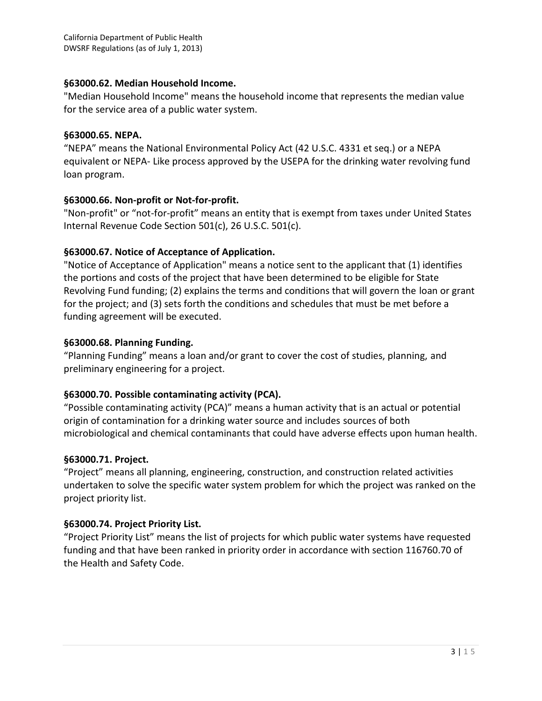#### **§63000.62. Median Household Income.**

"Median Household Income" means the household income that represents the median value for the service area of a public water system.

#### **§63000.65. NEPA.**

"NEPA" means the National Environmental Policy Act (42 U.S.C. 4331 et seq.) or a NEPA equivalent or NEPA- Like process approved by the USEPA for the drinking water revolving fund loan program.

# **§63000.66. Non-profit or Not-for-profit.**

"Non-profit" or "not-for-profit" means an entity that is exempt from taxes under United States Internal Revenue Code Section 501(c), 26 U.S.C. 501(c).

# **§63000.67. Notice of Acceptance of Application.**

"Notice of Acceptance of Application" means a notice sent to the applicant that (1) identifies the portions and costs of the project that have been determined to be eligible for State Revolving Fund funding; (2) explains the terms and conditions that will govern the loan or grant for the project; and (3) sets forth the conditions and schedules that must be met before a funding agreement will be executed.

## **§63000.68. Planning Funding.**

"Planning Funding" means a loan and/or grant to cover the cost of studies, planning, and preliminary engineering for a project.

# **§63000.70. Possible contaminating activity (PCA).**

"Possible contaminating activity (PCA)" means a human activity that is an actual or potential origin of contamination for a drinking water source and includes sources of both microbiological and chemical contaminants that could have adverse effects upon human health.

# **§63000.71. Project.**

"Project" means all planning, engineering, construction, and construction related activities undertaken to solve the specific water system problem for which the project was ranked on the project priority list.

# **§63000.74. Project Priority List.**

"Project Priority List" means the list of projects for which public water systems have requested funding and that have been ranked in priority order in accordance with section 116760.70 of the Health and Safety Code.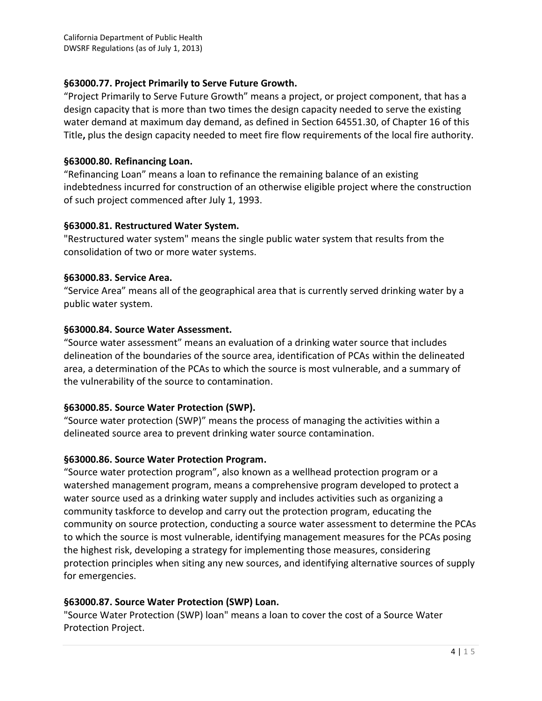## **§63000.77. Project Primarily to Serve Future Growth.**

"Project Primarily to Serve Future Growth" means a project, or project component, that has a design capacity that is more than two times the design capacity needed to serve the existing water demand at maximum day demand, as defined in Section 64551.30, of Chapter 16 of this Title**,** plus the design capacity needed to meet fire flow requirements of the local fire authority.

#### **§63000.80. Refinancing Loan.**

"Refinancing Loan" means a loan to refinance the remaining balance of an existing indebtedness incurred for construction of an otherwise eligible project where the construction of such project commenced after July 1, 1993.

## **§63000.81. Restructured Water System.**

"Restructured water system" means the single public water system that results from the consolidation of two or more water systems.

## **§63000.83. Service Area.**

"Service Area" means all of the geographical area that is currently served drinking water by a public water system.

## **§63000.84. Source Water Assessment.**

"Source water assessment" means an evaluation of a drinking water source that includes delineation of the boundaries of the source area, identification of PCAs within the delineated area, a determination of the PCAs to which the source is most vulnerable, and a summary of the vulnerability of the source to contamination.

# **§63000.85. Source Water Protection (SWP).**

"Source water protection (SWP)" means the process of managing the activities within a delineated source area to prevent drinking water source contamination.

# **§63000.86. Source Water Protection Program.**

"Source water protection program", also known as a wellhead protection program or a watershed management program, means a comprehensive program developed to protect a water source used as a drinking water supply and includes activities such as organizing a community taskforce to develop and carry out the protection program, educating the community on source protection, conducting a source water assessment to determine the PCAs to which the source is most vulnerable, identifying management measures for the PCAs posing the highest risk, developing a strategy for implementing those measures, considering protection principles when siting any new sources, and identifying alternative sources of supply for emergencies.

# **§63000.87. Source Water Protection (SWP) Loan.**

"Source Water Protection (SWP) loan" means a loan to cover the cost of a Source Water Protection Project.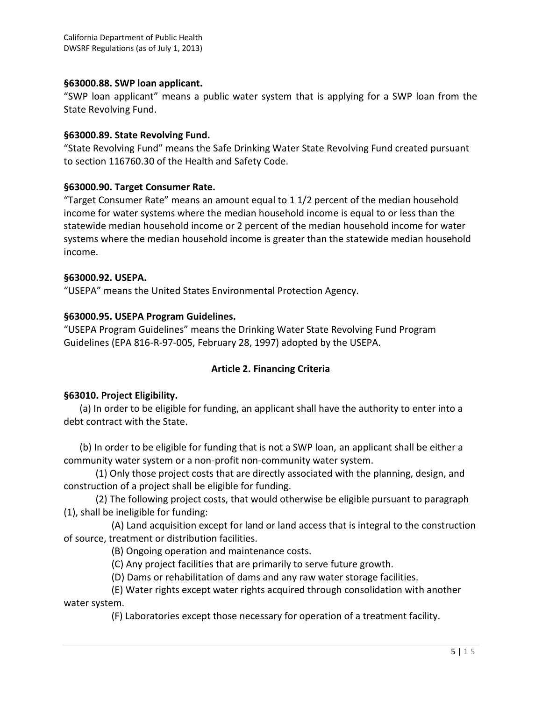#### **§63000.88. SWP loan applicant.**

"SWP loan applicant" means a public water system that is applying for a SWP loan from the State Revolving Fund.

#### **§63000.89. State Revolving Fund.**

"State Revolving Fund" means the Safe Drinking Water State Revolving Fund created pursuant to section 116760.30 of the Health and Safety Code.

## **§63000.90. Target Consumer Rate.**

"Target Consumer Rate" means an amount equal to 1 1/2 percent of the median household income for water systems where the median household income is equal to or less than the statewide median household income or 2 percent of the median household income for water systems where the median household income is greater than the statewide median household income.

#### **§63000.92. USEPA.**

"USEPA" means the United States Environmental Protection Agency.

## **§63000.95. USEPA Program Guidelines.**

"USEPA Program Guidelines" means the Drinking Water State Revolving Fund Program Guidelines (EPA 816-R-97-005, February 28, 1997) adopted by the USEPA.

# **Article 2. Financing Criteria**

#### **§63010. Project Eligibility.**

(a) In order to be eligible for funding, an applicant shall have the authority to enter into a debt contract with the State.

(b) In order to be eligible for funding that is not a SWP loan, an applicant shall be either a community water system or a non-profit non-community water system.

(1) Only those project costs that are directly associated with the planning, design, and construction of a project shall be eligible for funding.

(2) The following project costs, that would otherwise be eligible pursuant to paragraph (1), shall be ineligible for funding:

(A) Land acquisition except for land or land access that is integral to the construction of source, treatment or distribution facilities.

(B) Ongoing operation and maintenance costs.

(C) Any project facilities that are primarily to serve future growth.

(D) Dams or rehabilitation of dams and any raw water storage facilities.

(E) Water rights except water rights acquired through consolidation with another water system.

(F) Laboratories except those necessary for operation of a treatment facility.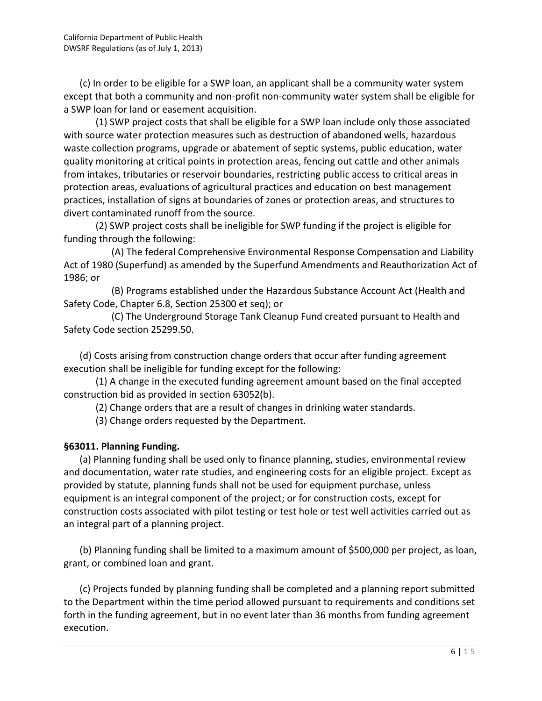(c) In order to be eligible for a SWP loan, an applicant shall be a community water system except that both a community and non-profit non-community water system shall be eligible for a SWP loan for land or easement acquisition.

(1) SWP project costs that shall be eligible for a SWP loan include only those associated with source water protection measures such as destruction of abandoned wells, hazardous waste collection programs, upgrade or abatement of septic systems, public education, water quality monitoring at critical points in protection areas, fencing out cattle and other animals from intakes, tributaries or reservoir boundaries, restricting public access to critical areas in protection areas, evaluations of agricultural practices and education on best management practices, installation of signs at boundaries of zones or protection areas, and structures to divert contaminated runoff from the source.

(2) SWP project costs shall be ineligible for SWP funding if the project is eligible for funding through the following:

(A) The federal Comprehensive Environmental Response Compensation and Liability Act of 1980 (Superfund) as amended by the Superfund Amendments and Reauthorization Act of 1986; or

(B) Programs established under the Hazardous Substance Account Act (Health and Safety Code, Chapter 6.8, Section 25300 et seq); or

(C) The Underground Storage Tank Cleanup Fund created pursuant to Health and Safety Code section 25299.50.

(d) Costs arising from construction change orders that occur after funding agreement execution shall be ineligible for funding except for the following:

(1) A change in the executed funding agreement amount based on the final accepted construction bid as provided in section 63052(b).

(2) Change orders that are a result of changes in drinking water standards.

(3) Change orders requested by the Department.

# **§63011. Planning Funding.**

(a) Planning funding shall be used only to finance planning, studies, environmental review and documentation, water rate studies, and engineering costs for an eligible project. Except as provided by statute, planning funds shall not be used for equipment purchase, unless equipment is an integral component of the project; or for construction costs, except for construction costs associated with pilot testing or test hole or test well activities carried out as an integral part of a planning project.

(b) Planning funding shall be limited to a maximum amount of \$500,000 per project, as loan, grant, or combined loan and grant.

ns set<br>nent<br>6 | 1 5 (c) Projects funded by planning funding shall be completed and a planning report submitted to the Department within the time period allowed pursuant to requirements and conditions set forth in the funding agreement, but in no event later than 36 months from funding agreement execution.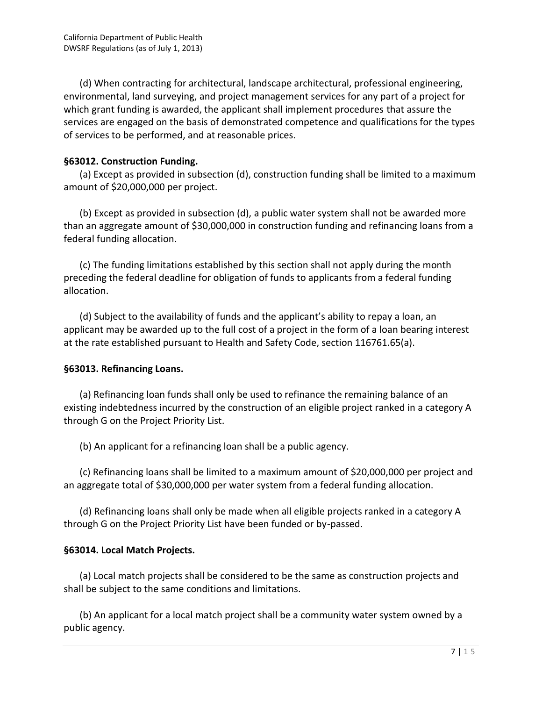(d) When contracting for architectural, landscape architectural, professional engineering, environmental, land surveying, and project management services for any part of a project for which grant funding is awarded, the applicant shall implement procedures that assure the services are engaged on the basis of demonstrated competence and qualifications for the types of services to be performed, and at reasonable prices.

## **§63012. Construction Funding.**

(a) Except as provided in subsection (d), construction funding shall be limited to a maximum amount of \$20,000,000 per project.

(b) Except as provided in subsection (d), a public water system shall not be awarded more than an aggregate amount of \$30,000,000 in construction funding and refinancing loans from a federal funding allocation.

(c) The funding limitations established by this section shall not apply during the month preceding the federal deadline for obligation of funds to applicants from a federal funding allocation.

(d) Subject to the availability of funds and the applicant's ability to repay a loan, an applicant may be awarded up to the full cost of a project in the form of a loan bearing interest at the rate established pursuant to Health and Safety Code, section 116761.65(a).

# **§63013. Refinancing Loans.**

(a) Refinancing loan funds shall only be used to refinance the remaining balance of an existing indebtedness incurred by the construction of an eligible project ranked in a category A through G on the Project Priority List.

(b) An applicant for a refinancing loan shall be a public agency.

(c) Refinancing loans shall be limited to a maximum amount of \$20,000,000 per project and an aggregate total of \$30,000,000 per water system from a federal funding allocation.

(d) Refinancing loans shall only be made when all eligible projects ranked in a category A through G on the Project Priority List have been funded or by-passed.

#### **§63014. Local Match Projects.**

(a) Local match projects shall be considered to be the same as construction projects and shall be subject to the same conditions and limitations.

y a<br>7 | 1 5 (b) An applicant for a local match project shall be a community water system owned by a public agency.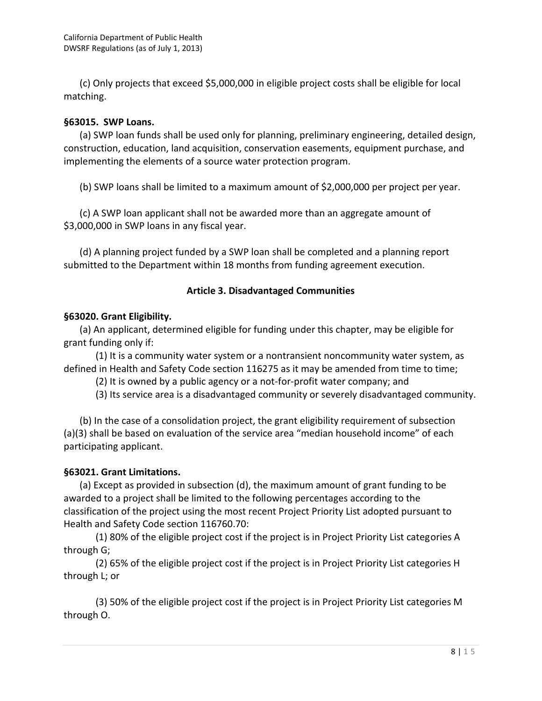(c) Only projects that exceed \$5,000,000 in eligible project costs shall be eligible for local matching.

#### **§63015. SWP Loans.**

(a) SWP loan funds shall be used only for planning, preliminary engineering, detailed design, construction, education, land acquisition, conservation easements, equipment purchase, and implementing the elements of a source water protection program.

(b) SWP loans shall be limited to a maximum amount of \$2,000,000 per project per year.

(c) A SWP loan applicant shall not be awarded more than an aggregate amount of \$3,000,000 in SWP loans in any fiscal year.

(d) A planning project funded by a SWP loan shall be completed and a planning report submitted to the Department within 18 months from funding agreement execution.

#### **Article 3. Disadvantaged Communities**

#### **§63020. Grant Eligibility.**

(a) An applicant, determined eligible for funding under this chapter, may be eligible for grant funding only if:

(1) It is a community water system or a nontransient noncommunity water system, as defined in Health and Safety Code section 116275 as it may be amended from time to time;

(2) It is owned by a public agency or a not-for-profit water company; and

(3) Its service area is a disadvantaged community or severely disadvantaged community.

(b) In the case of a consolidation project, the grant eligibility requirement of subsection (a)(3) shall be based on evaluation of the service area "median household income" of each participating applicant.

#### **§63021. Grant Limitations.**

(a) Except as provided in subsection (d), the maximum amount of grant funding to be awarded to a project shall be limited to the following percentages according to the classification of the project using the most recent Project Priority List adopted pursuant to Health and Safety Code section 116760.70:

(1) 80% of the eligible project cost if the project is in Project Priority List categories A through G;

(2) 65% of the eligible project cost if the project is in Project Priority List categories H through L; or

M<br> $8 | 15$ (3) 50% of the eligible project cost if the project is in Project Priority List categories M through O.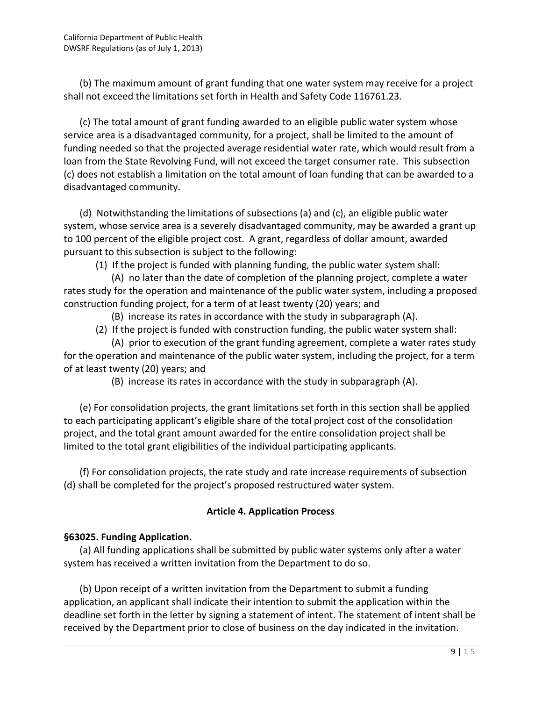(b) The maximum amount of grant funding that one water system may receive for a project shall not exceed the limitations set forth in Health and Safety Code 116761.23.

(c) The total amount of grant funding awarded to an eligible public water system whose service area is a disadvantaged community, for a project, shall be limited to the amount of funding needed so that the projected average residential water rate, which would result from a loan from the State Revolving Fund, will not exceed the target consumer rate. This subsection (c) does not establish a limitation on the total amount of loan funding that can be awarded to a disadvantaged community.

(d) Notwithstanding the limitations of subsections (a) and (c), an eligible public water system, whose service area is a severely disadvantaged community, may be awarded a grant up to 100 percent of the eligible project cost. A grant, regardless of dollar amount, awarded pursuant to this subsection is subject to the following:

(1) If the project is funded with planning funding, the public water system shall:

(A) no later than the date of completion of the planning project, complete a water rates study for the operation and maintenance of the public water system, including a proposed construction funding project, for a term of at least twenty (20) years; and

(B) increase its rates in accordance with the study in subparagraph (A).

(2) If the project is funded with construction funding, the public water system shall:

(A) prior to execution of the grant funding agreement, complete a water rates study for the operation and maintenance of the public water system, including the project, for a term of at least twenty (20) years; and

(B) increase its rates in accordance with the study in subparagraph (A).

(e) For consolidation projects, the grant limitations set forth in this section shall be applied to each participating applicant's eligible share of the total project cost of the consolidation project, and the total grant amount awarded for the entire consolidation project shall be limited to the total grant eligibilities of the individual participating applicants.

(f) For consolidation projects, the rate study and rate increase requirements of subsection (d) shall be completed for the project's proposed restructured water system.

# **Article 4. Application Process**

# **§63025. Funding Application.**

(a) All funding applications shall be submitted by public water systems only after a water system has received a written invitation from the Department to do so.

| all be<br>| n.<br>| 9 | 1 5 (b) Upon receipt of a written invitation from the Department to submit a funding application, an applicant shall indicate their intention to submit the application within the deadline set forth in the letter by signing a statement of intent. The statement of intent shall be received by the Department prior to close of business on the day indicated in the invitation.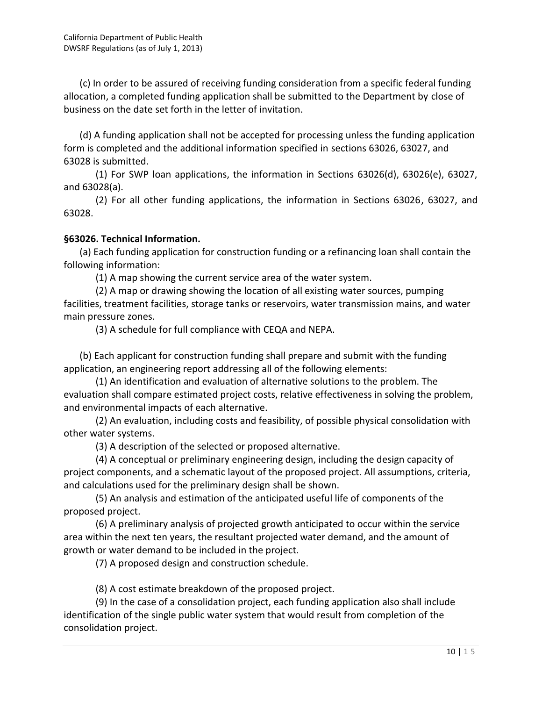(c) In order to be assured of receiving funding consideration from a specific federal funding allocation, a completed funding application shall be submitted to the Department by close of business on the date set forth in the letter of invitation.

(d) A funding application shall not be accepted for processing unless the funding application form is completed and the additional information specified in sections 63026, 63027, and 63028 is submitted.

(1) For SWP loan applications, the information in Sections 63026(d), 63026(e), 63027, and 63028(a).

(2) For all other funding applications, the information in Sections 63026, 63027, and 63028.

## **§63026. Technical Information.**

(a) Each funding application for construction funding or a refinancing loan shall contain the following information:

(1) A map showing the current service area of the water system.

(2) A map or drawing showing the location of all existing water sources, pumping facilities, treatment facilities, storage tanks or reservoirs, water transmission mains, and water main pressure zones.

(3) A schedule for full compliance with CEQA and NEPA.

(b) Each applicant for construction funding shall prepare and submit with the funding application, an engineering report addressing all of the following elements:

(1) An identification and evaluation of alternative solutions to the problem. The evaluation shall compare estimated project costs, relative effectiveness in solving the problem, and environmental impacts of each alternative.

(2) An evaluation, including costs and feasibility, of possible physical consolidation with other water systems.

(3) A description of the selected or proposed alternative.

(4) A conceptual or preliminary engineering design, including the design capacity of project components, and a schematic layout of the proposed project. All assumptions, criteria, and calculations used for the preliminary design shall be shown.

(5) An analysis and estimation of the anticipated useful life of components of the proposed project.

(6) A preliminary analysis of projected growth anticipated to occur within the service area within the next ten years, the resultant projected water demand, and the amount of growth or water demand to be included in the project.

(7) A proposed design and construction schedule.

(8) A cost estimate breakdown of the proposed project.

**10** | 1 5<br>**10** | 1 5 (9) In the case of a consolidation project, each funding application also shall include identification of the single public water system that would result from completion of the consolidation project.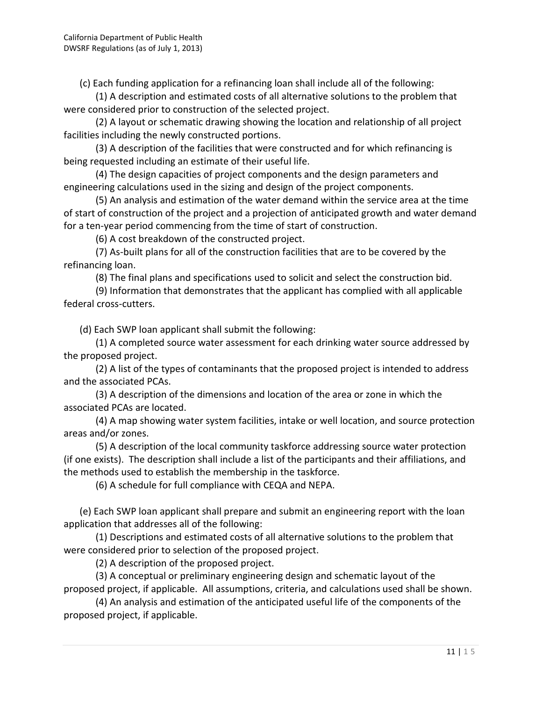(c) Each funding application for a refinancing loan shall include all of the following:

(1) A description and estimated costs of all alternative solutions to the problem that were considered prior to construction of the selected project.

(2) A layout or schematic drawing showing the location and relationship of all project facilities including the newly constructed portions.

(3) A description of the facilities that were constructed and for which refinancing is being requested including an estimate of their useful life.

(4) The design capacities of project components and the design parameters and engineering calculations used in the sizing and design of the project components.

(5) An analysis and estimation of the water demand within the service area at the time of start of construction of the project and a projection of anticipated growth and water demand for a ten-year period commencing from the time of start of construction.

(6) A cost breakdown of the constructed project.

(7) As-built plans for all of the construction facilities that are to be covered by the refinancing loan.

(8) The final plans and specifications used to solicit and select the construction bid.

(9) Information that demonstrates that the applicant has complied with all applicable federal cross-cutters.

(d) Each SWP loan applicant shall submit the following:

(1) A completed source water assessment for each drinking water source addressed by the proposed project.

(2) A list of the types of contaminants that the proposed project is intended to address and the associated PCAs.

(3) A description of the dimensions and location of the area or zone in which the associated PCAs are located.

(4) A map showing water system facilities, intake or well location, and source protection areas and/or zones.

(5) A description of the local community taskforce addressing source water protection (if one exists). The description shall include a list of the participants and their affiliations, and the methods used to establish the membership in the taskforce.

(6) A schedule for full compliance with CEQA and NEPA.

(e) Each SWP loan applicant shall prepare and submit an engineering report with the loan application that addresses all of the following:

(1) Descriptions and estimated costs of all alternative solutions to the problem that were considered prior to selection of the proposed project.

(2) A description of the proposed project.

(3) A conceptual or preliminary engineering design and schematic layout of the proposed project, if applicable. All assumptions, criteria, and calculations used shall be shown.

the<br>11 | 1 5<br>11 | 1 5 (4) An analysis and estimation of the anticipated useful life of the components of the proposed project, if applicable.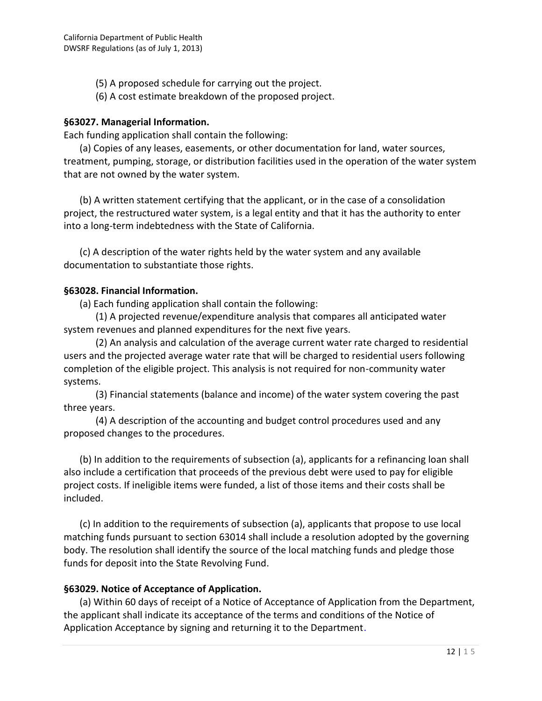(5) A proposed schedule for carrying out the project.

(6) A cost estimate breakdown of the proposed project.

## **§63027. Managerial Information.**

Each funding application shall contain the following:

(a) Copies of any leases, easements, or other documentation for land, water sources, treatment, pumping, storage, or distribution facilities used in the operation of the water system that are not owned by the water system.

(b) A written statement certifying that the applicant, or in the case of a consolidation project, the restructured water system, is a legal entity and that it has the authority to enter into a long-term indebtedness with the State of California.

(c) A description of the water rights held by the water system and any available documentation to substantiate those rights.

## **§63028. Financial Information.**

(a) Each funding application shall contain the following:

(1) A projected revenue/expenditure analysis that compares all anticipated water system revenues and planned expenditures for the next five years.

(2) An analysis and calculation of the average current water rate charged to residential users and the projected average water rate that will be charged to residential users following completion of the eligible project. This analysis is not required for non-community water systems.

(3) Financial statements (balance and income) of the water system covering the past three years.

(4) A description of the accounting and budget control procedures used and any proposed changes to the procedures.

(b) In addition to the requirements of subsection (a), applicants for a refinancing loan shall also include a certification that proceeds of the previous debt were used to pay for eligible project costs. If ineligible items were funded, a list of those items and their costs shall be included.

(c) In addition to the requirements of subsection (a), applicants that propose to use local matching funds pursuant to section 63014 shall include a resolution adopted by the governing body. The resolution shall identify the source of the local matching funds and pledge those funds for deposit into the State Revolving Fund.

# **§63029. Notice of Acceptance of Application.**

**tment,<br>12 | 1 5** (a) Within 60 days of receipt of a Notice of Acceptance of Application from the Department, the applicant shall indicate its acceptance of the terms and conditions of the Notice of Application Acceptance by signing and returning it to the Department.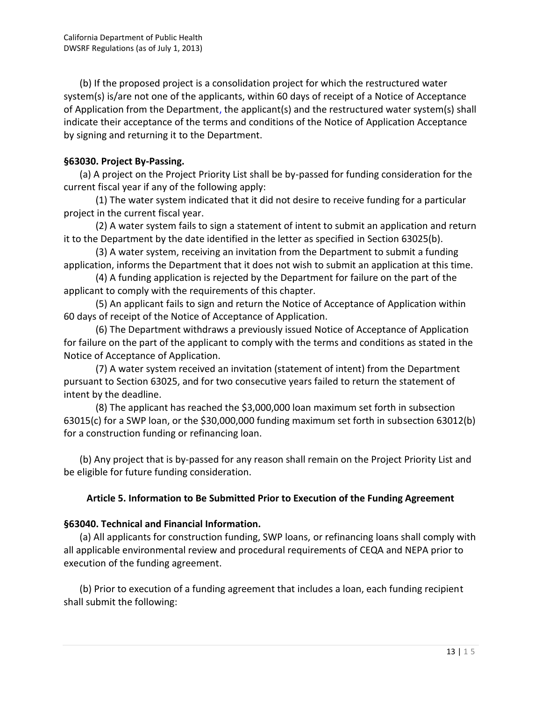(b) If the proposed project is a consolidation project for which the restructured water system(s) is/are not one of the applicants, within 60 days of receipt of a Notice of Acceptance of Application from the Department, the applicant(s) and the restructured water system(s) shall indicate their acceptance of the terms and conditions of the Notice of Application Acceptance by signing and returning it to the Department.

## **§63030. Project By-Passing.**

(a) A project on the Project Priority List shall be by-passed for funding consideration for the current fiscal year if any of the following apply:

(1) The water system indicated that it did not desire to receive funding for a particular project in the current fiscal year.

(2) A water system fails to sign a statement of intent to submit an application and return it to the Department by the date identified in the letter as specified in Section 63025(b).

(3) A water system, receiving an invitation from the Department to submit a funding application, informs the Department that it does not wish to submit an application at this time.

(4) A funding application is rejected by the Department for failure on the part of the applicant to comply with the requirements of this chapter.

(5) An applicant fails to sign and return the Notice of Acceptance of Application within 60 days of receipt of the Notice of Acceptance of Application.

(6) The Department withdraws a previously issued Notice of Acceptance of Application for failure on the part of the applicant to comply with the terms and conditions as stated in the Notice of Acceptance of Application.

(7) A water system received an invitation (statement of intent) from the Department pursuant to Section 63025, and for two consecutive years failed to return the statement of intent by the deadline.

(8) The applicant has reached the \$3,000,000 loan maximum set forth in subsection 63015(c) for a SWP loan, or the \$30,000,000 funding maximum set forth in subsection 63012(b) for a construction funding or refinancing loan.

(b) Any project that is by-passed for any reason shall remain on the Project Priority List and be eligible for future funding consideration.

# **Article 5. Information to Be Submitted Prior to Execution of the Funding Agreement**

#### **§63040. Technical and Financial Information.**

(a) All applicants for construction funding, SWP loans, or refinancing loans shall comply with all applicable environmental review and procedural requirements of CEQA and NEPA prior to execution of the funding agreement.

(b) Prior to execution of a funding agreement that includes a loan, each funding recipient shall submit the following: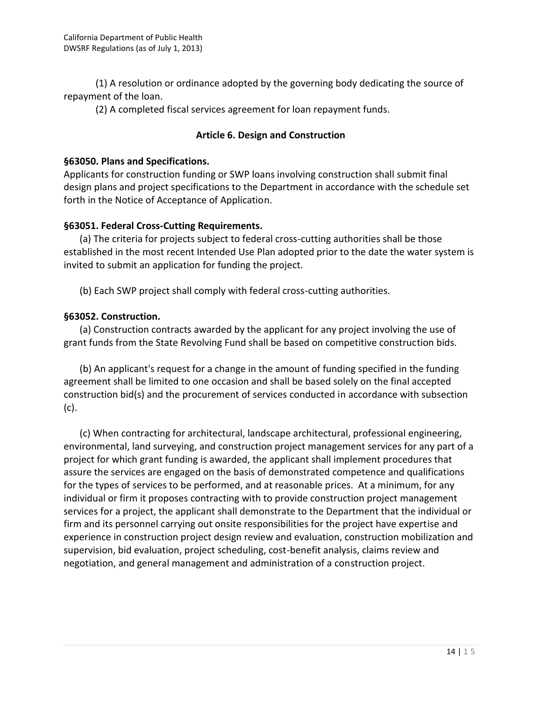(1) A resolution or ordinance adopted by the governing body dedicating the source of repayment of the loan.

(2) A completed fiscal services agreement for loan repayment funds.

## **Article 6. Design and Construction**

#### **§63050. Plans and Specifications.**

Applicants for construction funding or SWP loans involving construction shall submit final design plans and project specifications to the Department in accordance with the schedule set forth in the Notice of Acceptance of Application.

## **§63051. Federal Cross-Cutting Requirements.**

(a) The criteria for projects subject to federal cross-cutting authorities shall be those established in the most recent Intended Use Plan adopted prior to the date the water system is invited to submit an application for funding the project.

(b) Each SWP project shall comply with federal cross-cutting authorities.

# **§63052. Construction.**

(a) Construction contracts awarded by the applicant for any project involving the use of grant funds from the State Revolving Fund shall be based on competitive construction bids.

(b) An applicant's request for a change in the amount of funding specified in the funding agreement shall be limited to one occasion and shall be based solely on the final accepted construction bid(s) and the procurement of services conducted in accordance with subsection (c).

(c) When contracting for architectural, landscape architectural, professional engineering, environmental, land surveying, and construction project management services for any part of a project for which grant funding is awarded, the applicant shall implement procedures that assure the services are engaged on the basis of demonstrated competence and qualifications for the types of services to be performed, and at reasonable prices. At a minimum, for any individual or firm it proposes contracting with to provide construction project management services for a project, the applicant shall demonstrate to the Department that the individual or firm and its personnel carrying out onsite responsibilities for the project have expertise and experience in construction project design review and evaluation, construction mobilization and supervision, bid evaluation, project scheduling, cost-benefit analysis, claims review and negotiation, and general management and administration of a construction project.